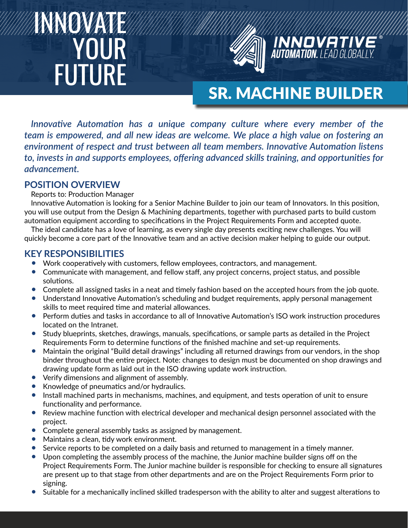# INNOVATE **YOUR** FUTURE



## SR. MACHINE BUILDER

*Innovative Automation has a unique company culture where every member of the team is empowered, and all new ideas are welcome. We place a high value on fostering an environment of respect and trust between all team members. Innovative Automation listens to, invests in and supports employees, offering advanced skills training, and opportunities for advancement.*

#### **POSITION OVERVIEW**

Reports to: Production Manager

Innovative Automation is looking for a Senior Machine Builder to join our team of Innovators. In this position, you will use output from the Design & Machining departments, together with purchased parts to build custom automation equipment according to specifications in the Project Requirements Form and accepted quote.

The ideal candidate has a love of learning, as every single day presents exciting new challenges. You will quickly become a core part of the Innovative team and an active decision maker helping to guide our output.

#### **KEY RESPONSIBILITIES**

- Work cooperatively with customers, fellow employees, contractors, and management.
- Communicate with management, and fellow staff, any project concerns, project status, and possible solutions.
- Complete all assigned tasks in a neat and timely fashion based on the accepted hours from the job quote.
- Understand Innovative Automation's scheduling and budget requirements, apply personal management skills to meet required time and material allowances.
- Perform duties and tasks in accordance to all of Innovative Automation's ISO work instruction procedures located on the Intranet.
- Study blueprints, sketches, drawings, manuals, specifications, or sample parts as detailed in the Project Requirements Form to determine functions of the finished machine and set-up requirements.
- Maintain the original "Build detail drawings" including all returned drawings from our vendors, in the shop binder throughout the entire project. Note: changes to design must be documented on shop drawings and drawing update form as laid out in the ISO drawing update work instruction.
- Verify dimensions and alignment of assembly.
- Knowledge of pneumatics and/or hydraulics.
- Install machined parts in mechanisms, machines, and equipment, and tests operation of unit to ensure functionality and performance.
- Review machine function with electrical developer and mechanical design personnel associated with the project.
- Complete general assembly tasks as assigned by management.
- Maintains a clean, tidy work environment.
- Service reports to be completed on a daily basis and returned to management in a timely manner.
- Upon completing the assembly process of the machine, the Junior machine builder signs off on the Project Requirements Form. The Junior machine builder is responsible for checking to ensure all signatures are present up to that stage from other departments and are on the Project Requirements Form prior to signing.
- Suitable for a mechanically inclined skilled tradesperson with the ability to alter and suggest alterations to